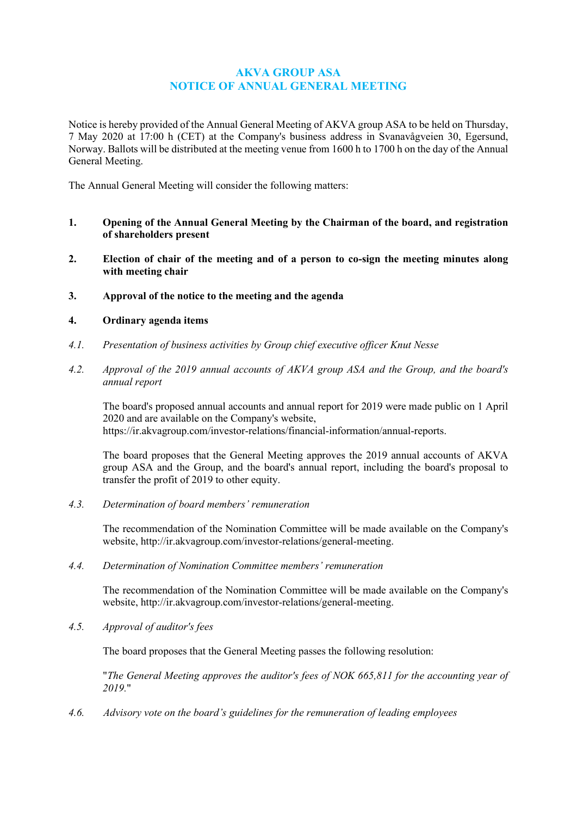# **AKVA GROUP ASA NOTICE OF ANNUAL GENERAL MEETING**

Notice is hereby provided of the Annual General Meeting of AKVA group ASA to be held on Thursday, 7 May 2020 at 17:00 h (CET) at the Company's business address in Svanavågveien 30, Egersund, Norway. Ballots will be distributed at the meeting venue from 1600 h to 1700 h on the day of the Annual General Meeting.

The Annual General Meeting will consider the following matters:

- **1. Opening of the Annual General Meeting by the Chairman of the board, and registration of shareholders present**
- **2. Election of chair of the meeting and of a person to co-sign the meeting minutes along with meeting chair**
- **3. Approval of the notice to the meeting and the agenda**

# **4. Ordinary agenda items**

- *4.1. Presentation of business activities by Group chief executive officer Knut Nesse*
- *4.2. Approval of the 2019 annual accounts of AKVA group ASA and the Group, and the board's annual report*

The board's proposed annual accounts and annual report for 2019 were made public on 1 April 2020 and are available on the Company's website, https://ir.akvagroup.com/investor-relations/financial-information/annual-reports.

The board proposes that the General Meeting approves the 2019 annual accounts of AKVA group ASA and the Group, and the board's annual report, including the board's proposal to transfer the profit of 2019 to other equity.

*4.3. Determination of board members' remuneration*

The recommendation of the Nomination Committee will be made available on the Company's website, [http://ir.akvagroup.com/investor-relations/general-meeting.](http://ir.akvagroup.com/investor-relations/general-meeting)

*4.4. Determination of Nomination Committee members' remuneration*

The recommendation of the Nomination Committee will be made available on the Company's website, [http://ir.akvagroup.com/investor-relations/general-meeting.](http://ir.akvagroup.com/investor-relations/general-meeting)

*4.5. Approval of auditor's fees*

The board proposes that the General Meeting passes the following resolution:

"*The General Meeting approves the auditor's fees of NOK 665,811 for the accounting year of 2019.*"

*4.6. Advisory vote on the board's guidelines for the remuneration of leading employees*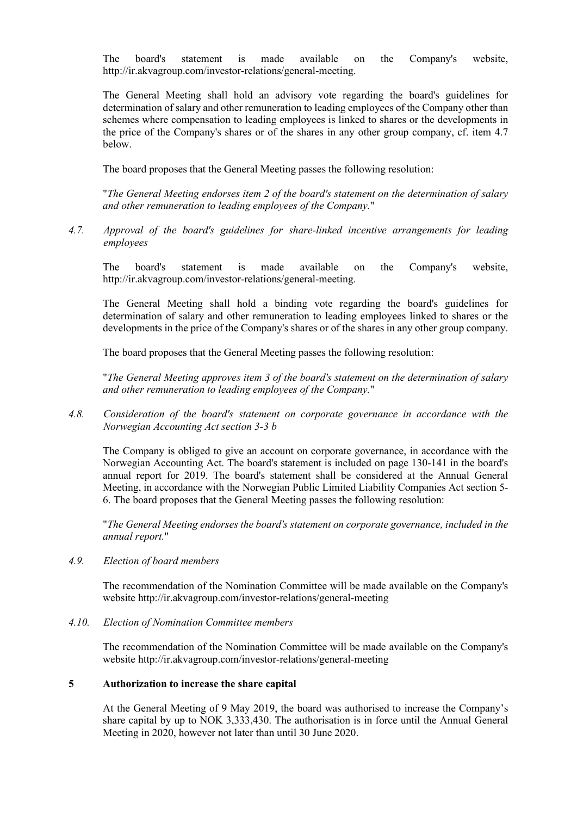The board's statement is made available on the Company's website, [http://ir.akvagroup.com/investor-relations/general-meeting.](http://ir.akvagroup.com/investor-relations/general-meeting)

The General Meeting shall hold an advisory vote regarding the board's guidelines for determination of salary and other remuneration to leading employees of the Company other than schemes where compensation to leading employees is linked to shares or the developments in the price of the Company's shares or of the shares in any other group company, cf. item 4.7 below.

The board proposes that the General Meeting passes the following resolution:

"*The General Meeting endorses item 2 of the board's statement on the determination of salary and other remuneration to leading employees of the Company.*"

*4.7. Approval of the board's guidelines for share-linked incentive arrangements for leading employees*

The board's statement is made available on the Company's website, [http://ir.akvagroup.com/investor-relations/general-meeting.](http://ir.akvagroup.com/investor-relations/general-meeting)

The General Meeting shall hold a binding vote regarding the board's guidelines for determination of salary and other remuneration to leading employees linked to shares or the developments in the price of the Company's shares or of the shares in any other group company.

The board proposes that the General Meeting passes the following resolution:

"*The General Meeting approves item 3 of the board's statement on the determination of salary and other remuneration to leading employees of the Company.*"

*4.8. Consideration of the board's statement on corporate governance in accordance with the Norwegian Accounting Act section 3-3 b*

The Company is obliged to give an account on corporate governance, in accordance with the Norwegian Accounting Act. The board's statement is included on page 130-141 in the board's annual report for 2019. The board's statement shall be considered at the Annual General Meeting, in accordance with the Norwegian Public Limited Liability Companies Act section 5- 6. The board proposes that the General Meeting passes the following resolution:

"*The General Meeting endorses the board's statement on corporate governance, included in the annual report.*"

*4.9. Election of board members* 

The recommendation of the Nomination Committee will be made available on the Company's website<http://ir.akvagroup.com/investor-relations/general-meeting>

*4.10. Election of Nomination Committee members*

The recommendation of the Nomination Committee will be made available on the Company's website<http://ir.akvagroup.com/investor-relations/general-meeting>

### **5 Authorization to increase the share capital**

At the General Meeting of 9 May 2019, the board was authorised to increase the Company's share capital by up to NOK 3,333,430. The authorisation is in force until the Annual General Meeting in 2020, however not later than until 30 June 2020.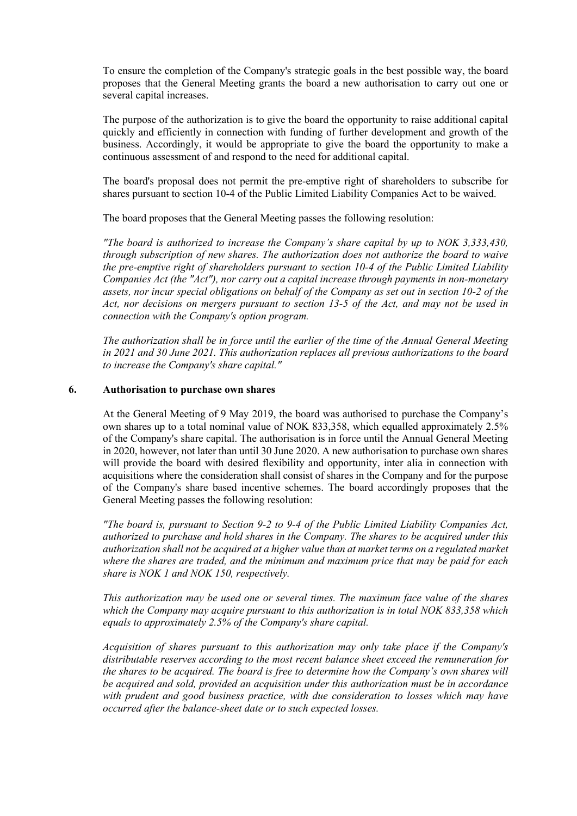To ensure the completion of the Company's strategic goals in the best possible way, the board proposes that the General Meeting grants the board a new authorisation to carry out one or several capital increases.

The purpose of the authorization is to give the board the opportunity to raise additional capital quickly and efficiently in connection with funding of further development and growth of the business. Accordingly, it would be appropriate to give the board the opportunity to make a continuous assessment of and respond to the need for additional capital.

The board's proposal does not permit the pre-emptive right of shareholders to subscribe for shares pursuant to section 10-4 of the Public Limited Liability Companies Act to be waived.

The board proposes that the General Meeting passes the following resolution:

*"The board is authorized to increase the Company's share capital by up to NOK 3,333,430, through subscription of new shares. The authorization does not authorize the board to waive the pre-emptive right of shareholders pursuant to section 10-4 of the Public Limited Liability Companies Act (the "Act"), nor carry out a capital increase through payments in non-monetary assets, nor incur special obligations on behalf of the Company as set out in section 10-2 of the Act, nor decisions on mergers pursuant to section 13-5 of the Act, and may not be used in connection with the Company's option program.*

*The authorization shall be in force until the earlier of the time of the Annual General Meeting in 2021 and 30 June 2021. This authorization replaces all previous authorizations to the board to increase the Company's share capital."*

### **6. Authorisation to purchase own shares**

At the General Meeting of 9 May 2019, the board was authorised to purchase the Company's own shares up to a total nominal value of NOK 833,358, which equalled approximately 2.5% of the Company's share capital. The authorisation is in force until the Annual General Meeting in 2020, however, not later than until 30 June 2020. A new authorisation to purchase own shares will provide the board with desired flexibility and opportunity, inter alia in connection with acquisitions where the consideration shall consist of shares in the Company and for the purpose of the Company's share based incentive schemes. The board accordingly proposes that the General Meeting passes the following resolution:

*"The board is, pursuant to Section 9-2 to 9-4 of the Public Limited Liability Companies Act, authorized to purchase and hold shares in the Company. The shares to be acquired under this authorization shall not be acquired at a higher value than at market terms on a regulated market where the shares are traded, and the minimum and maximum price that may be paid for each share is NOK 1 and NOK 150, respectively.*

*This authorization may be used one or several times. The maximum face value of the shares which the Company may acquire pursuant to this authorization is in total NOK 833,358 which equals to approximately 2.5% of the Company's share capital.*

*Acquisition of shares pursuant to this authorization may only take place if the Company's distributable reserves according to the most recent balance sheet exceed the remuneration for the shares to be acquired. The board is free to determine how the Company's own shares will be acquired and sold, provided an acquisition under this authorization must be in accordance with prudent and good business practice, with due consideration to losses which may have occurred after the balance-sheet date or to such expected losses.*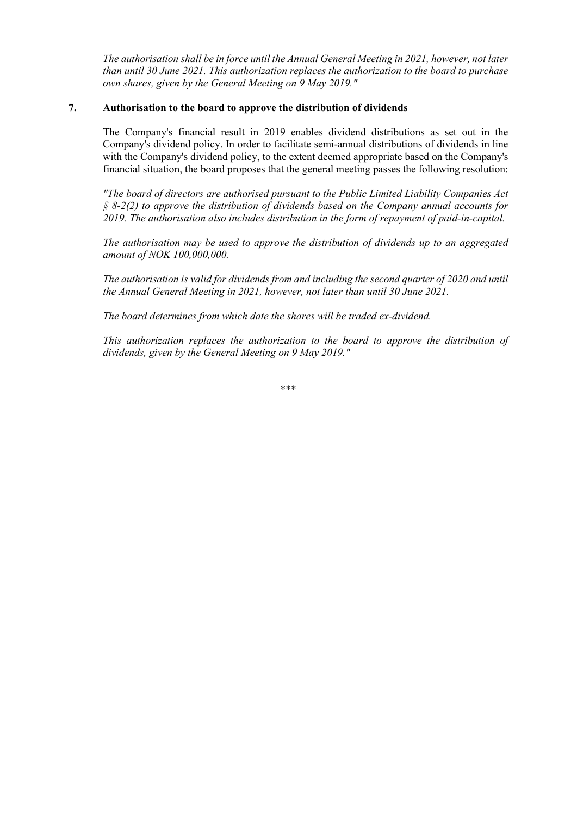*The authorisation shall be in force until the Annual General Meeting in 2021, however, not later than until 30 June 2021. This authorization replaces the authorization to the board to purchase own shares, given by the General Meeting on 9 May 2019."*

# **7. Authorisation to the board to approve the distribution of dividends**

The Company's financial result in 2019 enables dividend distributions as set out in the Company's dividend policy. In order to facilitate semi-annual distributions of dividends in line with the Company's dividend policy, to the extent deemed appropriate based on the Company's financial situation, the board proposes that the general meeting passes the following resolution:

*"The board of directors are authorised pursuant to the Public Limited Liability Companies Act § 8-2(2) to approve the distribution of dividends based on the Company annual accounts for 2019. The authorisation also includes distribution in the form of repayment of paid-in-capital.*

*The authorisation may be used to approve the distribution of dividends up to an aggregated amount of NOK 100,000,000.*

*The authorisation is valid for dividends from and including the second quarter of 2020 and until the Annual General Meeting in 2021, however, not later than until 30 June 2021.*

*The board determines from which date the shares will be traded ex-dividend.* 

*This authorization replaces the authorization to the board to approve the distribution of dividends, given by the General Meeting on 9 May 2019."*

\*\*\*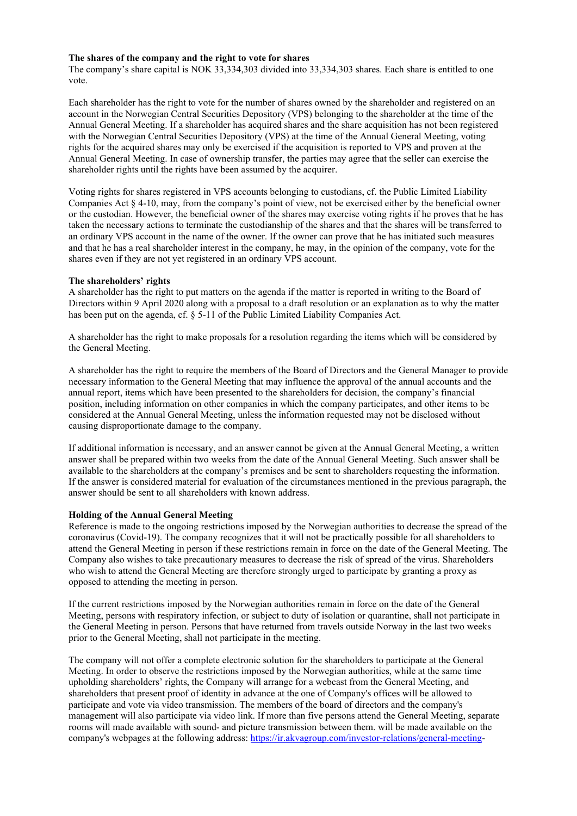#### **The shares of the company and the right to vote for shares**

The company's share capital is NOK 33,334,303 divided into 33,334,303 shares. Each share is entitled to one vote.

Each shareholder has the right to vote for the number of shares owned by the shareholder and registered on an account in the Norwegian Central Securities Depository (VPS) belonging to the shareholder at the time of the Annual General Meeting. If a shareholder has acquired shares and the share acquisition has not been registered with the Norwegian Central Securities Depository (VPS) at the time of the Annual General Meeting, voting rights for the acquired shares may only be exercised if the acquisition is reported to VPS and proven at the Annual General Meeting. In case of ownership transfer, the parties may agree that the seller can exercise the shareholder rights until the rights have been assumed by the acquirer.

Voting rights for shares registered in VPS accounts belonging to custodians, cf. the Public Limited Liability Companies Act § 4-10, may, from the company's point of view, not be exercised either by the beneficial owner or the custodian. However, the beneficial owner of the shares may exercise voting rights if he proves that he has taken the necessary actions to terminate the custodianship of the shares and that the shares will be transferred to an ordinary VPS account in the name of the owner. If the owner can prove that he has initiated such measures and that he has a real shareholder interest in the company, he may, in the opinion of the company, vote for the shares even if they are not yet registered in an ordinary VPS account.

#### **The shareholders' rights**

A shareholder has the right to put matters on the agenda if the matter is reported in writing to the Board of Directors within 9 April 2020 along with a proposal to a draft resolution or an explanation as to why the matter has been put on the agenda, cf. § 5-11 of the Public Limited Liability Companies Act.

A shareholder has the right to make proposals for a resolution regarding the items which will be considered by the General Meeting.

A shareholder has the right to require the members of the Board of Directors and the General Manager to provide necessary information to the General Meeting that may influence the approval of the annual accounts and the annual report, items which have been presented to the shareholders for decision, the company's financial position, including information on other companies in which the company participates, and other items to be considered at the Annual General Meeting, unless the information requested may not be disclosed without causing disproportionate damage to the company.

If additional information is necessary, and an answer cannot be given at the Annual General Meeting, a written answer shall be prepared within two weeks from the date of the Annual General Meeting. Such answer shall be available to the shareholders at the company's premises and be sent to shareholders requesting the information. If the answer is considered material for evaluation of the circumstances mentioned in the previous paragraph, the answer should be sent to all shareholders with known address.

#### **Holding of the Annual General Meeting**

Reference is made to the ongoing restrictions imposed by the Norwegian authorities to decrease the spread of the coronavirus (Covid-19). The company recognizes that it will not be practically possible for all shareholders to attend the General Meeting in person if these restrictions remain in force on the date of the General Meeting. The Company also wishes to take precautionary measures to decrease the risk of spread of the virus. Shareholders who wish to attend the General Meeting are therefore strongly urged to participate by granting a proxy as opposed to attending the meeting in person.

If the current restrictions imposed by the Norwegian authorities remain in force on the date of the General Meeting, persons with respiratory infection, or subject to duty of isolation or quarantine, shall not participate in the General Meeting in person. Persons that have returned from travels outside Norway in the last two weeks prior to the General Meeting, shall not participate in the meeting.

The company will not offer a complete electronic solution for the shareholders to participate at the General Meeting. In order to observe the restrictions imposed by the Norwegian authorities, while at the same time upholding shareholders' rights, the Company will arrange for a webcast from the General Meeting, and shareholders that present proof of identity in advance at the one of Company's offices will be allowed to participate and vote via video transmission. The members of the board of directors and the company's management will also participate via video link. If more than five persons attend the General Meeting, separate rooms will made available with sound- and picture transmission between them. will be made available on the company's webpages at the following address[: https://ir.akvagroup.com/investor-relations/general-meeting-](https://ir.akvagroup.com/investor-relations/general-meeting)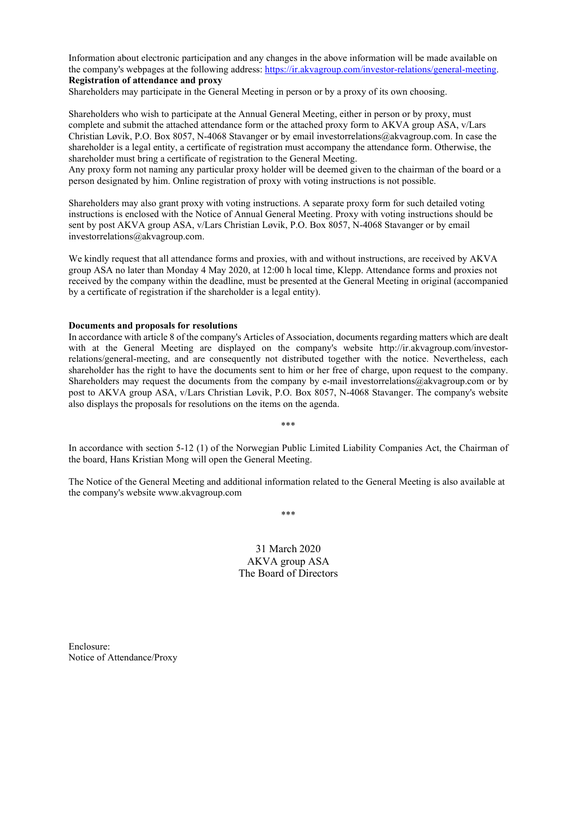Information about electronic participation and any changes in the above information will be made available on the company's webpages at the following address: [https://ir.akvagroup.com/investor-relations/general-meeting.](https://ir.akvagroup.com/investor-relations/general-meeting) **Registration of attendance and proxy**

Shareholders may participate in the General Meeting in person or by a proxy of its own choosing.

Shareholders who wish to participate at the Annual General Meeting, either in person or by proxy, must complete and submit the attached attendance form or the attached proxy form to AKVA group ASA, v/Lars Christian Løvik, P.O. Box 8057, N-4068 Stavanger or by email investorrelations@akvagroup.com. In case the shareholder is a legal entity, a certificate of registration must accompany the attendance form. Otherwise, the shareholder must bring a certificate of registration to the General Meeting.

Any proxy form not naming any particular proxy holder will be deemed given to the chairman of the board or a person designated by him. Online registration of proxy with voting instructions is not possible.

Shareholders may also grant proxy with voting instructions. A separate proxy form for such detailed voting instructions is enclosed with the Notice of Annual General Meeting. Proxy with voting instructions should be sent by post AKVA group ASA, v/Lars Christian Løvik, P.O. Box 8057, N-4068 Stavanger or by email investorrelations@akvagroup.com.

We kindly request that all attendance forms and proxies, with and without instructions, are received by AKVA group ASA no later than Monday 4 May 2020, at 12:00 h local time, Klepp. Attendance forms and proxies not received by the company within the deadline, must be presented at the General Meeting in original (accompanied by a certificate of registration if the shareholder is a legal entity).

#### **Documents and proposals for resolutions**

In accordance with article 8 of the company's Articles of Association, documents regarding matters which are dealt with at the General Meeting are displayed on the company's website [http://ir.akvagroup.com/investor](http://ir.akvagroup.com/investor-relations/general-meeting)[relations/general-meeting,](http://ir.akvagroup.com/investor-relations/general-meeting) and are consequently not distributed together with the notice. Nevertheless, each shareholder has the right to have the documents sent to him or her free of charge, upon request to the company. Shareholders may request the documents from the company by e-mail investorrelations@akvagroup.com or by post to AKVA group ASA, v/Lars Christian Løvik, P.O. Box 8057, N-4068 Stavanger. The company's website also displays the proposals for resolutions on the items on the agenda.

\*\*\*

In accordance with section 5-12 (1) of the Norwegian Public Limited Liability Companies Act, the Chairman of the board, Hans Kristian Mong will open the General Meeting.

The Notice of the General Meeting and additional information related to the General Meeting is also available at the company's website www.akvagroup.com

\*\*\*

31 March 2020 AKVA group ASA The Board of Directors

Enclosure: Notice of Attendance/Proxy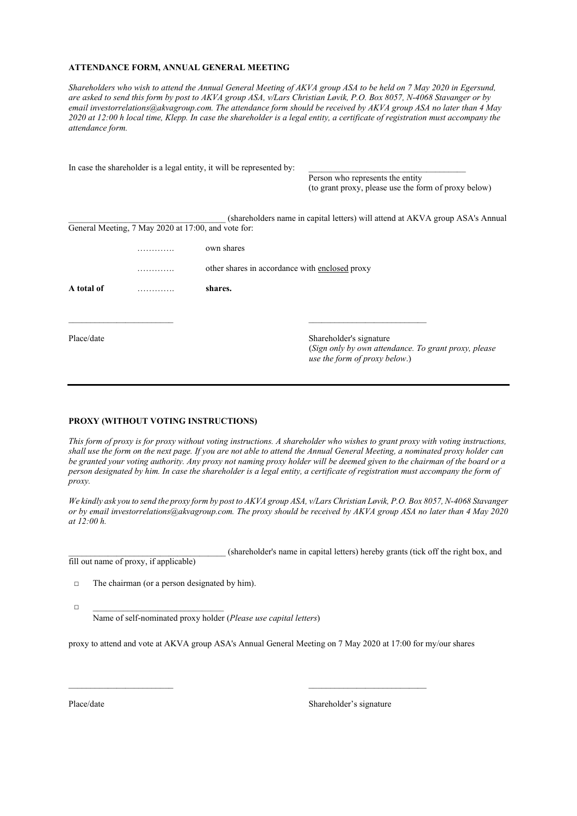#### **ATTENDANCE FORM, ANNUAL GENERAL MEETING**

*Shareholders who wish to attend the Annual General Meeting of AKVA group ASA to be held on 7 May 2020 in Egersund, are asked to send this form by post to AKVA group ASA, v/Lars Christian Løvik, P.O. Box 8057, N-4068 Stavanger or by email investorrelations@akvagroup.com. The attendance form should be received by AKVA group ASA no later than 4 May 2020 at 12:00 h local time, Klepp. In case the shareholder is a legal entity, a certificate of registration must accompany the attendance form.* 

|            |   | In case the shareholder is a legal entity, it will be represented by: |                                                                                       |  |  |  |  |
|------------|---|-----------------------------------------------------------------------|---------------------------------------------------------------------------------------|--|--|--|--|
|            |   |                                                                       | Person who represents the entity                                                      |  |  |  |  |
|            |   |                                                                       | (to grant proxy, please use the form of proxy below)                                  |  |  |  |  |
|            |   |                                                                       | (shareholders name in capital letters) will attend at AKVA group ASA's Annual         |  |  |  |  |
|            |   | General Meeting, 7 May 2020 at 17:00, and vote for:                   |                                                                                       |  |  |  |  |
|            | . | own shares                                                            |                                                                                       |  |  |  |  |
|            |   |                                                                       | other shares in accordance with enclosed proxy                                        |  |  |  |  |
| A total of | . | shares.                                                               |                                                                                       |  |  |  |  |
|            |   |                                                                       |                                                                                       |  |  |  |  |
| Place/date |   |                                                                       | Shareholder's signature                                                               |  |  |  |  |
|            |   |                                                                       | (Sign only by own attendance. To grant proxy, please<br>use the form of proxy below.) |  |  |  |  |

#### **PROXY (WITHOUT VOTING INSTRUCTIONS)**

*This form of proxy is for proxy without voting instructions. A shareholder who wishes to grant proxy with voting instructions, shall use the form on the next page. If you are not able to attend the Annual General Meeting, a nominated proxy holder can be granted your voting authority. Any proxy not naming proxy holder will be deemed given to the chairman of the board or a person designated by him. In case the shareholder is a legal entity, a certificate of registration must accompany the form of proxy.*

*We kindly ask you to send the proxy form by post to AKVA group ASA, v/Lars Christian Løvik, P.O. Box 8057, N-4068 Stavanger or by email investorrelations@akvagroup.com. The proxy should be received by AKVA group ASA no later than 4 May 2020 at 12:00 h.*

\_\_\_\_\_\_\_\_\_\_\_\_\_\_\_\_\_\_\_\_\_\_\_\_\_\_\_\_\_\_\_\_\_\_\_\_ (shareholder's name in capital letters) hereby grants (tick off the right box, and fill out name of proxy, if applicable)

□ The chairman (or a person designated by him).

□ \_\_\_\_\_\_\_\_\_\_\_\_\_\_\_\_\_\_\_\_\_\_\_\_\_\_\_\_\_\_

Name of self-nominated proxy holder (*Please use capital letters*)

proxy to attend and vote at AKVA group ASA's Annual General Meeting on 7 May 2020 at 17:00 for my/our shares

\_\_\_\_\_\_\_\_\_\_\_\_\_\_\_\_\_\_\_\_\_\_\_\_ \_\_\_\_\_\_\_\_\_\_\_\_\_\_\_\_\_\_\_\_\_\_\_\_\_\_\_

Place/date Shareholder's signature